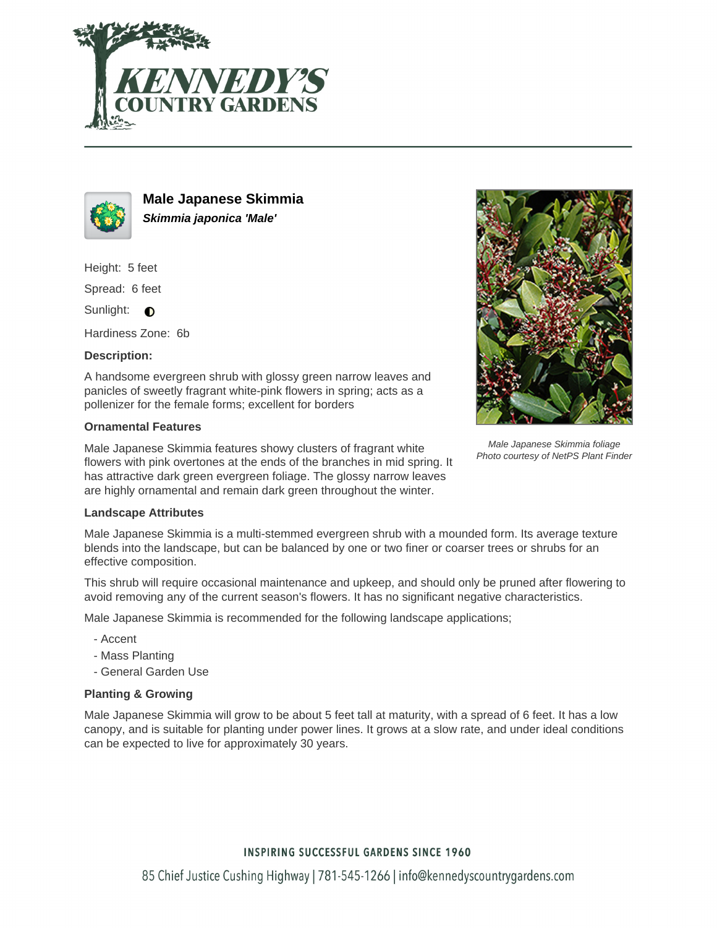



**Male Japanese Skimmia Skimmia japonica 'Male'**

Height: 5 feet

Spread: 6 feet

Sunlight:  $\bigcirc$ 

Hardiness Zone: 6b

### **Description:**

A handsome evergreen shrub with glossy green narrow leaves and panicles of sweetly fragrant white-pink flowers in spring; acts as a pollenizer for the female forms; excellent for borders

#### **Ornamental Features**

Male Japanese Skimmia features showy clusters of fragrant white flowers with pink overtones at the ends of the branches in mid spring. It has attractive dark green evergreen foliage. The glossy narrow leaves are highly ornamental and remain dark green throughout the winter.



Male Japanese Skimmia foliage Photo courtesy of NetPS Plant Finder

#### **Landscape Attributes**

Male Japanese Skimmia is a multi-stemmed evergreen shrub with a mounded form. Its average texture blends into the landscape, but can be balanced by one or two finer or coarser trees or shrubs for an effective composition.

This shrub will require occasional maintenance and upkeep, and should only be pruned after flowering to avoid removing any of the current season's flowers. It has no significant negative characteristics.

Male Japanese Skimmia is recommended for the following landscape applications;

- Accent
- Mass Planting
- General Garden Use

# **Planting & Growing**

Male Japanese Skimmia will grow to be about 5 feet tall at maturity, with a spread of 6 feet. It has a low canopy, and is suitable for planting under power lines. It grows at a slow rate, and under ideal conditions can be expected to live for approximately 30 years.

## **INSPIRING SUCCESSFUL GARDENS SINCE 1960**